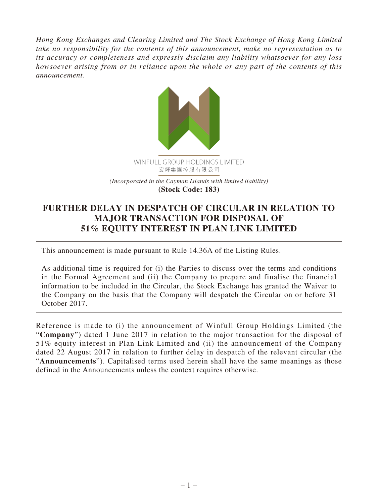*Hong Kong Exchanges and Clearing Limited and The Stock Exchange of Hong Kong Limited take no responsibility for the contents of this announcement, make no representation as to its accuracy or completeness and expressly disclaim any liability whatsoever for any loss howsoever arising from or in reliance upon the whole or any part of the contents of this announcement.*



## **FURTHER DELAY IN DESPATCH OF CIRCULAR IN RELATION TO MAJOR TRANSACTION FOR DISPOSAL OF 51% EQUITY INTEREST IN PLAN LINK LIMITED**

This announcement is made pursuant to Rule 14.36A of the Listing Rules.

As additional time is required for (i) the Parties to discuss over the terms and conditions in the Formal Agreement and (ii) the Company to prepare and finalise the financial information to be included in the Circular, the Stock Exchange has granted the Waiver to the Company on the basis that the Company will despatch the Circular on or before 31 October 2017.

Reference is made to (i) the announcement of Winfull Group Holdings Limited (the "**Company**") dated 1 June 2017 in relation to the major transaction for the disposal of 51% equity interest in Plan Link Limited and (ii) the announcement of the Company dated 22 August 2017 in relation to further delay in despatch of the relevant circular (the "**Announcements**"). Capitalised terms used herein shall have the same meanings as those defined in the Announcements unless the context requires otherwise.